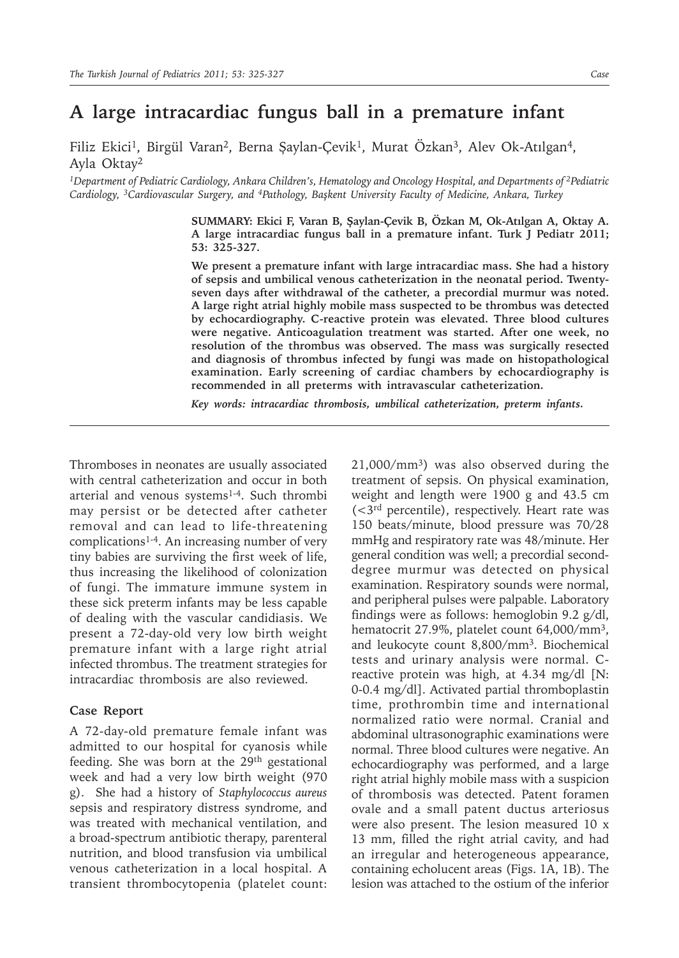## **A large intracardiac fungus ball in a premature infant**

Filiz Ekici<sup>1</sup>, Birgül Varan<sup>2</sup>, Berna Şaylan-Çevik<sup>1</sup>, Murat Özkan<sup>3</sup>, Alev Ok-Atılgan<sup>4</sup>, Ayla Oktay2

*1Department of Pediatric Cardiology, Ankara Children's, Hematology and Oncology Hospital, and Departments of 2Pediatric Cardiology, 3Cardiovascular Surgery, and 4Pathology, Başkent University Faculty of Medicine, Ankara, Turkey*

> **SUMMARY: Ekici F, Varan B, Şaylan-Çevik B, Özkan M, Ok-Atılgan A, Oktay A. A large intracardiac fungus ball in a premature infant. Turk J Pediatr 2011; 53: 325-327.**

> **We present a premature infant with large intracardiac mass. She had a history of sepsis and umbilical venous catheterization in the neonatal period. Twentyseven days after withdrawal of the catheter, a precordial murmur was noted. A large right atrial highly mobile mass suspected to be thrombus was detected by echocardiography. C-reactive protein was elevated. Three blood cultures were negative. Anticoagulation treatment was started. After one week, no resolution of the thrombus was observed. The mass was surgically resected and diagnosis of thrombus infected by fungi was made on histopathological examination. Early screening of cardiac chambers by echocardiography is recommended in all preterms with intravascular catheterization.**

*Key words: intracardiac thrombosis, umbilical catheterization, preterm infants.*

Thromboses in neonates are usually associated with central catheterization and occur in both arterial and venous systems<sup>1-4</sup>. Such thrombi may persist or be detected after catheter removal and can lead to life-threatening complications1-4. An increasing number of very tiny babies are surviving the first week of life, thus increasing the likelihood of colonization of fungi. The immature immune system in these sick preterm infants may be less capable of dealing with the vascular candidiasis. We present a 72-day-old very low birth weight premature infant with a large right atrial infected thrombus. The treatment strategies for intracardiac thrombosis are also reviewed.

## **Case Report**

A 72-day-old premature female infant was admitted to our hospital for cyanosis while feeding. She was born at the 29<sup>th</sup> gestational week and had a very low birth weight (970 g). She had a history of *Staphylococcus aureus* sepsis and respiratory distress syndrome, and was treated with mechanical ventilation, and a broad-spectrum antibiotic therapy, parenteral nutrition, and blood transfusion via umbilical venous catheterization in a local hospital. A transient thrombocytopenia (platelet count: 21,000/mm3) was also observed during the treatment of sepsis. On physical examination, weight and length were 1900 g and 43.5 cm  $(*3*<sup>rd</sup> percentile)$ , respectively. Heart rate was 150 beats/minute, blood pressure was 70/28 mmHg and respiratory rate was 48/minute. Her general condition was well; a precordial seconddegree murmur was detected on physical examination. Respiratory sounds were normal, and peripheral pulses were palpable. Laboratory findings were as follows: hemoglobin 9.2 g/dl, hematocrit 27.9%, platelet count 64,000/mm3, and leukocyte count 8,800/mm3. Biochemical tests and urinary analysis were normal. Creactive protein was high, at 4.34 mg/dl [N: 0-0.4 mg/dl]. Activated partial thromboplastin time, prothrombin time and international normalized ratio were normal. Cranial and abdominal ultrasonographic examinations were normal. Three blood cultures were negative. An echocardiography was performed, and a large right atrial highly mobile mass with a suspicion of thrombosis was detected. Patent foramen ovale and a small patent ductus arteriosus were also present. The lesion measured 10 x 13 mm, filled the right atrial cavity, and had an irregular and heterogeneous appearance, containing echolucent areas (Figs. 1A, 1B). The lesion was attached to the ostium of the inferior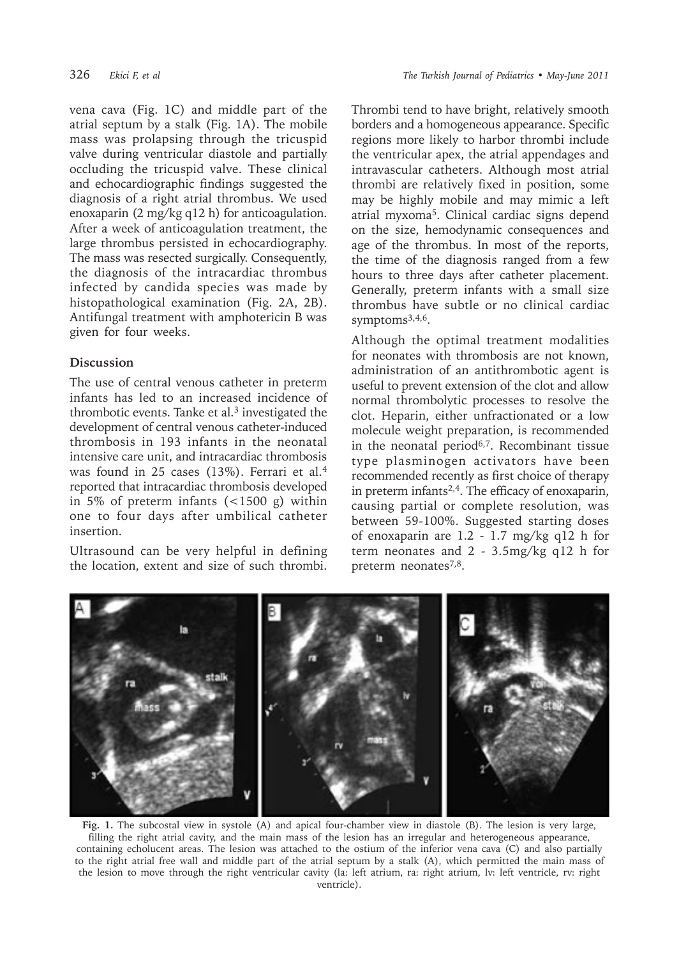vena cava (Fig. 1C) and middle part of the atrial septum by a stalk (Fig. 1A). The mobile mass was prolapsing through the tricuspid valve during ventricular diastole and partially occluding the tricuspid valve. These clinical and echocardiographic findings suggested the diagnosis of a right atrial thrombus. We used enoxaparin (2 mg/kg q12 h) for anticoagulation. After a week of anticoagulation treatment, the large thrombus persisted in echocardiography. The mass was resected surgically. Consequently, the diagnosis of the intracardiac thrombus infected by candida species was made by histopathological examination (Fig. 2A, 2B). Antifungal treatment with amphotericin B was given for four weeks.

## **Discussion**

The use of central venous catheter in preterm infants has led to an increased incidence of thrombotic events. Tanke et al. $3$  investigated the development of central venous catheter-induced thrombosis in 193 infants in the neonatal intensive care unit, and intracardiac thrombosis was found in 25 cases (13%). Ferrari et al.4 reported that intracardiac thrombosis developed in 5% of preterm infants (<1500 g) within one to four days after umbilical catheter insertion.

Ultrasound can be very helpful in defining the location, extent and size of such thrombi.

Thrombi tend to have bright, relatively smooth borders and a homogeneous appearance. Specific regions more likely to harbor thrombi include the ventricular apex, the atrial appendages and intravascular catheters. Although most atrial thrombi are relatively fixed in position, some may be highly mobile and may mimic a left atrial myxoma5. Clinical cardiac signs depend on the size, hemodynamic consequences and age of the thrombus. In most of the reports, the time of the diagnosis ranged from a few hours to three days after catheter placement. Generally, preterm infants with a small size thrombus have subtle or no clinical cardiac symptoms<sup>3,4,6</sup>.

Although the optimal treatment modalities for neonates with thrombosis are not known, administration of an antithrombotic agent is useful to prevent extension of the clot and allow normal thrombolytic processes to resolve the clot. Heparin, either unfractionated or a low molecule weight preparation, is recommended in the neonatal period $6,7$ . Recombinant tissue type plasminogen activators have been recommended recently as first choice of therapy in preterm infants2,4. The efficacy of enoxaparin, causing partial or complete resolution, was between 59-100%. Suggested starting doses of enoxaparin are 1.2 - 1.7 mg/kg q12 h for term neonates and 2 - 3.5mg/kg q12 h for preterm neonates7,8.



**Fig. 1.** The subcostal view in systole (A) and apical four-chamber view in diastole (B). The lesion is very large, filling the right atrial cavity, and the main mass of the lesion has an irregular and heterogeneous appearance, containing echolucent areas. The lesion was attached to the ostium of the inferior vena cava (C) and also partially to the right atrial free wall and middle part of the atrial septum by a stalk (A), which permitted the main mass of the lesion to move through the right ventricular cavity (la: left atrium, ra: right atrium, lv: left ventricle, rv: right ventricle).